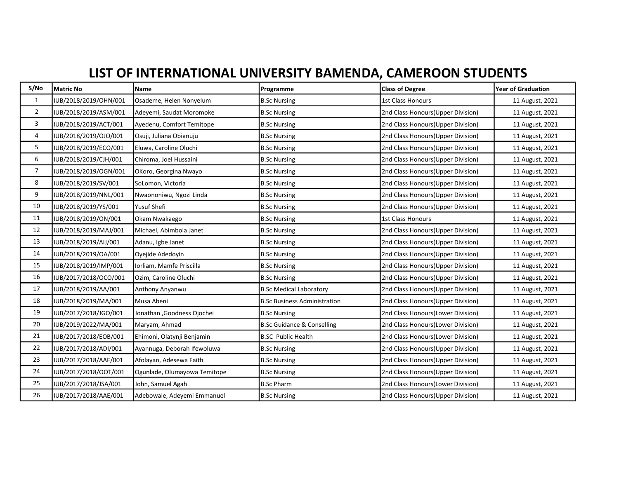## LIST OF INTERNATIONAL UNIVERSITY BAMENDA, CAMEROON STUDENTS

| S/No           | <b>Matric No</b>      | Name                         | Programme                             | <b>Class of Degree</b>             | <b>Year of Graduation</b> |
|----------------|-----------------------|------------------------------|---------------------------------------|------------------------------------|---------------------------|
| $\mathbf{1}$   | IUB/2018/2019/OHN/001 | Osademe, Helen Nonyelum      | <b>B.Sc Nursing</b>                   | 1st Class Honours                  | 11 August, 2021           |
| $\overline{2}$ | IUB/2018/2019/ASM/001 | Adeyemi, Saudat Moromoke     | <b>B.Sc Nursing</b>                   | 2nd Class Honours (Upper Division) | 11 August, 2021           |
| 3              | IUB/2018/2019/ACT/001 | Ayedenu, Comfort Temitope    | <b>B.Sc Nursing</b>                   | 2nd Class Honours (Upper Division) | 11 August, 2021           |
| 4              | IUB/2018/2019/OJO/001 | Osuji, Juliana Obianuju      | <b>B.Sc Nursing</b>                   | 2nd Class Honours (Upper Division) | 11 August, 2021           |
| 5              | IUB/2018/2019/ECO/001 | Eluwa, Caroline Oluchi       | <b>B.Sc Nursing</b>                   | 2nd Class Honours (Upper Division) | 11 August, 2021           |
| 6              | IUB/2018/2019/CJH/001 | Chiroma, Joel Hussaini       | <b>B.Sc Nursing</b>                   | 2nd Class Honours (Upper Division) | 11 August, 2021           |
| $\overline{7}$ | IUB/2018/2019/OGN/001 | OKoro, Georgina Nwayo        | <b>B.Sc Nursing</b>                   | 2nd Class Honours (Upper Division) | 11 August, 2021           |
| 8              | IUB/2018/2019/SV/001  | SoLomon, Victoria            | <b>B.Sc Nursing</b>                   | 2nd Class Honours (Upper Division) | 11 August, 2021           |
| 9              | IUB/2018/2019/NNL/001 | Nwaononiwu, Ngozi Linda      | <b>B.Sc Nursing</b>                   | 2nd Class Honours(Upper Division)  | 11 August, 2021           |
| 10             | IUB/2018/2019/YS/001  | Yusuf Shefi                  | <b>B.Sc Nursing</b>                   | 2nd Class Honours (Upper Division) | 11 August, 2021           |
| 11             | IUB/2018/2019/ON/001  | Okam Nwakaego                | <b>B.Sc Nursing</b>                   | <b>1st Class Honours</b>           | 11 August, 2021           |
| 12             | IUB/2018/2019/MAJ/001 | Michael, Abimbola Janet      | <b>B.Sc Nursing</b>                   | 2nd Class Honours (Upper Division) | 11 August, 2021           |
| 13             | IUB/2018/2019/AIJ/001 | Adanu, Igbe Janet            | <b>B.Sc Nursing</b>                   | 2nd Class Honours (Upper Division) | 11 August, 2021           |
| 14             | IUB/2018/2019/OA/001  | Oyejide Adedoyin             | <b>B.Sc Nursing</b>                   | 2nd Class Honours (Upper Division) | 11 August, 2021           |
| 15             | IUB/2018/2019/IMP/001 | Iorliam, Mamfe Priscilla     | <b>B.Sc Nursing</b>                   | 2nd Class Honours (Upper Division) | 11 August, 2021           |
| 16             | IUB/2017/2018/OCO/001 | Ozim, Caroline Oluchi        | <b>B.Sc Nursing</b>                   | 2nd Class Honours (Upper Division) | 11 August, 2021           |
| 17             | IUB/2018/2019/AA/001  | Anthony Anyanwu              | <b>B.Sc Medical Laboratory</b>        | 2nd Class Honours (Upper Division) | 11 August, 2021           |
| 18             | IUB/2018/2019/MA/001  | Musa Abeni                   | <b>B.Sc Business Administration</b>   | 2nd Class Honours (Upper Division) | 11 August, 2021           |
| 19             | IUB/2017/2018/JGO/001 | Jonathan , Goodness Ojochei  | <b>B.Sc Nursing</b>                   | 2nd Class Honours(Lower Division)  | 11 August, 2021           |
| 20             | IUB/2019/2022/MA/001  | Maryam, Ahmad                | <b>B.Sc Guidance &amp; Conselling</b> | 2nd Class Honours(Lower Division)  | 11 August, 2021           |
| 21             | IUB/2017/2018/EOB/001 | Ehimoni, Olatynji Benjamin   | <b>B.SC Public Health</b>             | 2nd Class Honours (Lower Division) | 11 August, 2021           |
| 22             | IUB/2017/2018/ADI/001 | Ayannuga, Deborah Ifewoluwa  | <b>B.Sc Nursing</b>                   | 2nd Class Honours (Upper Division) | 11 August, 2021           |
| 23             | IUB/2017/2018/AAF/001 | Afolayan, Adesewa Faith      | <b>B.Sc Nursing</b>                   | 2nd Class Honours (Upper Division) | 11 August, 2021           |
| 24             | IUB/2017/2018/OOT/001 | Ogunlade, Olumayowa Temitope | <b>B.Sc Nursing</b>                   | 2nd Class Honours (Upper Division) | 11 August, 2021           |
| 25             | IUB/2017/2018/JSA/001 | John, Samuel Agah            | <b>B.Sc Pharm</b>                     | 2nd Class Honours (Lower Division) | 11 August, 2021           |
| 26             | IUB/2017/2018/AAE/001 | Adebowale, Adeyemi Emmanuel  | <b>B.Sc Nursing</b>                   | 2nd Class Honours (Upper Division) | 11 August, 2021           |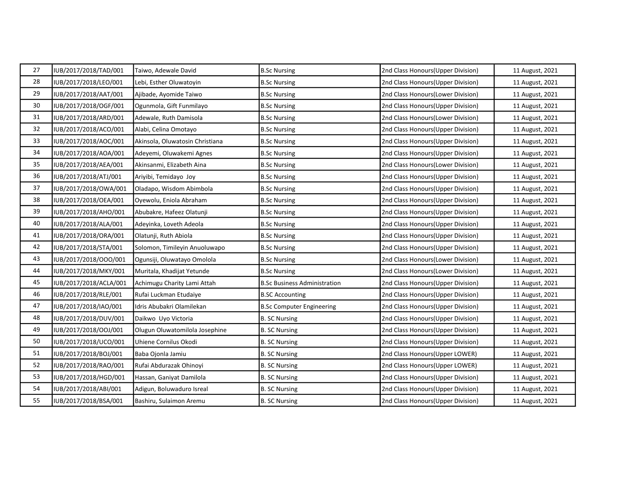| 27 | IUB/2017/2018/TAD/001  | Taiwo, Adewale David            | <b>B.Sc Nursing</b>                 | 2nd Class Honours (Upper Division) | 11 August, 2021 |
|----|------------------------|---------------------------------|-------------------------------------|------------------------------------|-----------------|
| 28 | IUB/2017/2018/LEO/001  | Lebi, Esther Oluwatoyin         | <b>B.Sc Nursing</b>                 | 2nd Class Honours(Upper Division)  | 11 August, 2021 |
| 29 | IUB/2017/2018/AAT/001  | Ajibade, Ayomide Taiwo          | <b>B.Sc Nursing</b>                 | 2nd Class Honours (Lower Division) | 11 August, 2021 |
| 30 | IUB/2017/2018/OGF/001  | Ogunmola, Gift Funmilayo        | <b>B.Sc Nursing</b>                 | 2nd Class Honours (Upper Division) | 11 August, 2021 |
| 31 | IUB/2017/2018/ARD/001  | Adewale, Ruth Damisola          | <b>B.Sc Nursing</b>                 | 2nd Class Honours (Lower Division) | 11 August, 2021 |
| 32 | IUB/2017/2018/ACO/001  | Alabi, Celina Omotayo           | <b>B.Sc Nursing</b>                 | 2nd Class Honours (Upper Division) | 11 August, 2021 |
| 33 | IUB/2017/2018/AOC/001  | Akinsola, Oluwatosin Christiana | <b>B.Sc Nursing</b>                 | 2nd Class Honours (Upper Division) | 11 August, 2021 |
| 34 | IUB/2017/2018/AOA/001  | Adeyemi, Oluwakemi Agnes        | <b>B.Sc Nursing</b>                 | 2nd Class Honours (Upper Division) | 11 August, 2021 |
| 35 | IUB/2017/2018/AEA/001  | Akinsanmi, Elizabeth Aina       | <b>B.Sc Nursing</b>                 | 2nd Class Honours(Lower Division)  | 11 August, 2021 |
| 36 | IUB/2017/2018/ATJ/001  | Ariyibi, Temidayo Joy           | <b>B.Sc Nursing</b>                 | 2nd Class Honours (Upper Division) | 11 August, 2021 |
| 37 | IUB/2017/2018/OWA/001  | Oladapo, Wisdom Abimbola        | <b>B.Sc Nursing</b>                 | 2nd Class Honours (Upper Division) | 11 August, 2021 |
| 38 | IUB/2017/2018/OEA/001  | Oyewolu, Eniola Abraham         | <b>B.Sc Nursing</b>                 | 2nd Class Honours (Upper Division) | 11 August, 2021 |
| 39 | IUB/2017/2018/AHO/001  | Abubakre, Hafeez Olatunji       | <b>B.Sc Nursing</b>                 | 2nd Class Honours (Upper Division) | 11 August, 2021 |
| 40 | IUB/2017/2018/ALA/001  | Adeyinka, Loveth Adeola         | <b>B.Sc Nursing</b>                 | 2nd Class Honours (Upper Division) | 11 August, 2021 |
| 41 | IUB/2017/2018/ORA/001  | Olatunji, Ruth Abiola           | <b>B.Sc Nursing</b>                 | 2nd Class Honours (Upper Division) | 11 August, 2021 |
| 42 | IUB/2017/2018/STA/001  | Solomon, Timileyin Anuoluwapo   | <b>B.Sc Nursing</b>                 | 2nd Class Honours (Upper Division) | 11 August, 2021 |
| 43 | IUB/2017/2018/OOO/001  | Ogunsiji, Oluwatayo Omolola     | <b>B.Sc Nursing</b>                 | 2nd Class Honours (Lower Division) | 11 August, 2021 |
| 44 | IUB/2017/2018/MKY/001  | Muritala, Khadijat Yetunde      | <b>B.Sc Nursing</b>                 | 2nd Class Honours (Lower Division) | 11 August, 2021 |
| 45 | IUB/2017/2018/ACLA/001 | Achimugu Charity Lami Attah     | <b>B.Sc Business Administration</b> | 2nd Class Honours(Upper Division)  | 11 August, 2021 |
| 46 | IUB/2017/2018/RLE/001  | Rufai Luckman Etudaiye          | <b>B.SC Accounting</b>              | 2nd Class Honours (Upper Division) | 11 August, 2021 |
| 47 | IUB/2017/2018/IAO/001  | Idris Abubakri Olamilekan       | <b>B.Sc Computer Engineering</b>    | 2nd Class Honours(Upper Division)  | 11 August, 2021 |
| 48 | IUB/2017/2018/DUV/001  | Daikwo Uyo Victoria             | <b>B. SC Nursing</b>                | 2nd Class Honours (Upper Division) | 11 August, 2021 |
| 49 | IUB/2017/2018/OOJ/001  | Olugun Oluwatomilola Josephine  | <b>B. SC Nursing</b>                | 2nd Class Honours (Upper Division) | 11 August, 2021 |
| 50 | IUB/2017/2018/UCO/001  | Uhiene Cornilus Okodi           | <b>B. SC Nursing</b>                | 2nd Class Honours (Upper Division) | 11 August, 2021 |
| 51 | IUB/2017/2018/BOJ/001  | Baba Ojonla Jamiu               | <b>B. SC Nursing</b>                | 2nd Class Honours (Upper LOWER)    | 11 August, 2021 |
| 52 | IUB/2017/2018/RAO/001  | Rufai Abdurazak Ohinoyi         | <b>B. SC Nursing</b>                | 2nd Class Honours (Upper LOWER)    | 11 August, 2021 |
| 53 | IUB/2017/2018/HGD/001  | Hassan, Ganiyat Damilola        | <b>B. SC Nursing</b>                | 2nd Class Honours (Upper Division) | 11 August, 2021 |
| 54 | IUB/2017/2018/ABI/001  | Adigun, Boluwaduro Isreal       | <b>B. SC Nursing</b>                | 2nd Class Honours (Upper Division) | 11 August, 2021 |
| 55 | IUB/2017/2018/BSA/001  | Bashiru, Sulaimon Aremu         | <b>B. SC Nursing</b>                | 2nd Class Honours(Upper Division)  | 11 August, 2021 |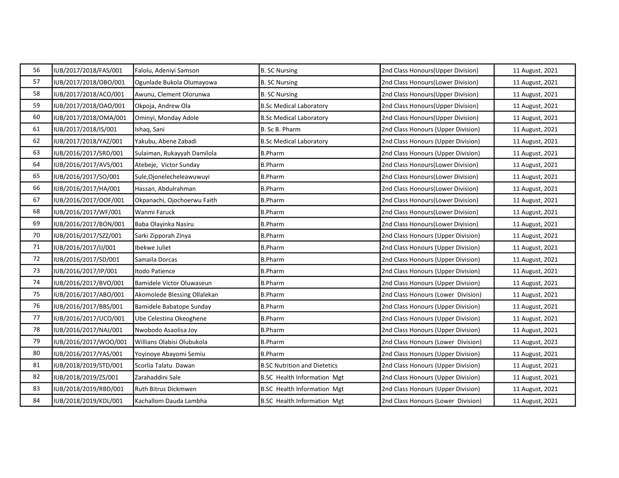| 56     | IUB/2017/2018/FAS/001 | Falolu, Adeniyi Samson       | <b>B. SC Nursing</b>                | 2nd Class Honours (Upper Division) | 11 August, 2021 |
|--------|-----------------------|------------------------------|-------------------------------------|------------------------------------|-----------------|
| 57     | IUB/2017/2018/OBO/001 | Ogunlade Bukola Olumayowa    | <b>B. SC Nursing</b>                | 2nd Class Honours(Lower Division)  | 11 August, 2021 |
| 58     | IUB/2017/2018/ACO/001 | Awunu, Clement Olorunwa      | <b>B. SC Nursing</b>                | 2nd Class Honours (Upper Division) | 11 August, 2021 |
| 59     | IUB/2017/2018/OAO/001 | Okpoja, Andrew Ola           | <b>B.Sc Medical Laboratory</b>      | 2nd Class Honours(Upper Division)  | 11 August, 2021 |
| 60     | IUB/2017/2018/OMA/001 | Ominyi, Monday Adole         | <b>B.Sc Medical Laboratory</b>      | 2nd Class Honours (Upper Division) | 11 August, 2021 |
| 61     | IUB/2017/2018/IS/001  | Ishaq, Sani                  | B. Sc B. Pharm                      | 2nd Class Honours (Upper Division) | 11 August, 2021 |
| 62     | IUB/2017/2018/YAZ/001 | Yakubu, Abene Zabadi         | <b>B.Sc Medical Laboratory</b>      | 2nd Class Honours (Upper Division) | 11 August, 2021 |
| 63     | IUB/2016/2017/SRD/001 | Sulaiman, Rukayyah Damilola  | <b>B.Pharm</b>                      | 2nd Class Honours (Upper Division) | 11 August, 2021 |
| 64     | IUB/2016/2017/AVS/001 | Atebeje, Victor Sunday       | <b>B.Pharm</b>                      | 2nd Class Honours(Lower Division)  | 11 August, 2021 |
| 65     | IUB/2016/2017/SO/001  | Sule, Ojonelecheleawuwuyi    | <b>B.Pharm</b>                      | 2nd Class Honours (Lower Division) | 11 August, 2021 |
| 66     | IUB/2016/2017/HA/001  | Hassan, Abdulrahman          | <b>B.Pharm</b>                      | 2nd Class Honours (Lower Division) | 11 August, 2021 |
| 67     | IUB/2016/2017/OOF/001 | Okpanachi, Ojochoerwu Faith  | <b>B.Pharm</b>                      | 2nd Class Honours (Lower Division) | 11 August, 2021 |
| 68     | IUB/2016/2017/WF/001  | Wanmi Faruck                 | <b>B.Pharm</b>                      | 2nd Class Honours (Lower Division) | 11 August, 2021 |
| 69     | IUB/2016/2017/BON/001 | Baba Olayinka Nasiru         | <b>B.Pharm</b>                      | 2nd Class Honours (Lower Division) | 11 August, 2021 |
| 70     | IUB/2016/2017/SZZ/001 | Sarki Zipporah Zinya         | <b>B.Pharm</b>                      | 2nd Class Honours (Upper Division) | 11 August, 2021 |
| $71\,$ | IUB/2016/2017/IJ/001  | Ibekwe Juliet                | <b>B.Pharm</b>                      | 2nd Class Honours (Upper Division) | 11 August, 2021 |
| $72\,$ | IUB/2016/2017/SD/001  | Samaila Dorcas               | <b>B.Pharm</b>                      | 2nd Class Honours (Upper Division) | 11 August, 2021 |
| 73     | IUB/2016/2017/IP/001  | Itodo Patience               | <b>B.Pharm</b>                      | 2nd Class Honours (Upper Division) | 11 August, 2021 |
| 74     | IUB/2016/2017/BVO/001 | Bamidele Victor Oluwaseun    | <b>B.Pharm</b>                      | 2nd Class Honours (Upper Division) | 11 August, 2021 |
| 75     | IUB/2016/2017/ABO/001 | Akomolede Blessing Ollalekan | <b>B.Pharm</b>                      | 2nd Class Honours (Lower Division) | 11 August, 2021 |
| 76     | IUB/2016/2017/BBS/001 | Bamidele Babatope Sunday     | <b>B.Pharm</b>                      | 2nd Class Honours (Upper Division) | 11 August, 2021 |
| 77     | IUB/2016/2017/UCO/001 | Ube Celestina Okeoghene      | <b>B.Pharm</b>                      | 2nd Class Honours (Upper Division) | 11 August, 2021 |
| 78     | IUB/2016/2017/NAJ/001 | Nwobodo Asaolisa Joy         | <b>B.Pharm</b>                      | 2nd Class Honours (Upper Division) | 11 August, 2021 |
| 79     | IUB/2016/2017/WOO/001 | Willians Olabisi Olubukola   | <b>B.Pharm</b>                      | 2nd Class Honours (Lower Division) | 11 August, 2021 |
| 80     | IUB/2016/2017/YAS/001 | Yoyinoye Abayomi Semiu       | <b>B.Pharm</b>                      | 2nd Class Honours (Upper Division) | 11 August, 2021 |
| 81     | IUB/2018/2019/STD/001 | Scorlia Talatu Dawan         | <b>B.SC Nutrition and Dietetics</b> | 2nd Class Honours (Upper Division) | 11 August, 2021 |
| 82     | IUB/2018/2019/ZS/001  | Zarahaddini Sale             | <b>B.SC Health Information Mgt</b>  | 2nd Class Honours (Upper Division) | 11 August, 2021 |
| 83     | IUB/2018/2019/RBD/001 | Ruth Bitrus Dickmwen         | <b>B.SC Health Information Mgt</b>  | 2nd Class Honours (Upper Division) | 11 August, 2021 |
| 84     | IUB/2018/2019/KDL/001 | Kachallom Dauda Lambha       | <b>B.SC Health Information Mgt</b>  | 2nd Class Honours (Lower Division) | 11 August, 2021 |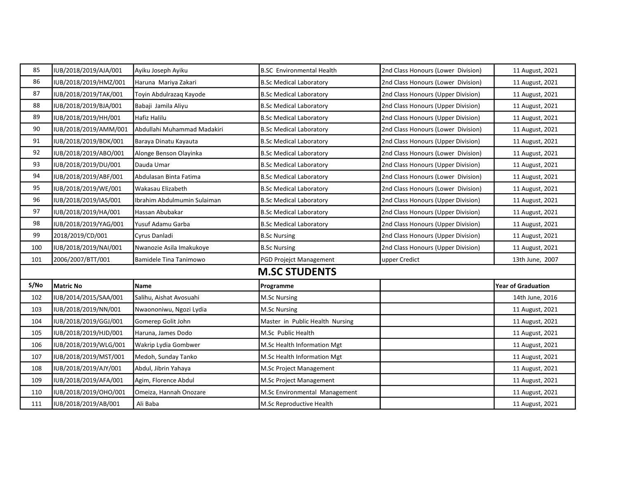| 85                                                                         | IUB/2018/2019/AJA/001 | Ayiku Joseph Ayiku          | <b>B.SC</b> Environmental Health | 2nd Class Honours (Lower Division) | 11 August, 2021 |  |
|----------------------------------------------------------------------------|-----------------------|-----------------------------|----------------------------------|------------------------------------|-----------------|--|
| 86                                                                         | IUB/2018/2019/HMZ/001 | Haruna Mariya Zakari        | <b>B.Sc Medical Laboratory</b>   | 2nd Class Honours (Lower Division) | 11 August, 2021 |  |
| 87                                                                         | IUB/2018/2019/TAK/001 | Toyin Abdulrazaq Kayode     | <b>B.Sc Medical Laboratory</b>   | 2nd Class Honours (Upper Division) | 11 August, 2021 |  |
| 88                                                                         | IUB/2018/2019/BJA/001 | Babaji Jamila Aliyu         | <b>B.Sc Medical Laboratory</b>   | 2nd Class Honours (Upper Division) | 11 August, 2021 |  |
| 89                                                                         | IUB/2018/2019/HH/001  | Hafiz Halilu                | <b>B.Sc Medical Laboratory</b>   | 2nd Class Honours (Upper Division) | 11 August, 2021 |  |
| 90                                                                         | IUB/2018/2019/AMM/001 | Abdullahi Muhammad Madakiri | <b>B.Sc Medical Laboratory</b>   | 2nd Class Honours (Lower Division) | 11 August, 2021 |  |
| 91                                                                         | IUB/2018/2019/BDK/001 | Baraya Dinatu Kayauta       | <b>B.Sc Medical Laboratory</b>   | 2nd Class Honours (Upper Division) | 11 August, 2021 |  |
| 92                                                                         | IUB/2018/2019/ABO/001 | Alonge Benson Olayinka      | <b>B.Sc Medical Laboratory</b>   | 2nd Class Honours (Lower Division) | 11 August, 2021 |  |
| 93                                                                         | IUB/2018/2019/DU/001  | Dauda Umar                  | <b>B.Sc Medical Laboratory</b>   | 2nd Class Honours (Upper Division) | 11 August, 2021 |  |
| 94                                                                         | IUB/2018/2019/ABF/001 | Abdulasan Binta Fatima      | <b>B.Sc Medical Laboratory</b>   | 2nd Class Honours (Lower Division) | 11 August, 2021 |  |
| 95                                                                         | IUB/2018/2019/WE/001  | Wakasau Elizabeth           | <b>B.Sc Medical Laboratory</b>   | 2nd Class Honours (Lower Division) | 11 August, 2021 |  |
| 96                                                                         | IUB/2018/2019/IAS/001 | Ibrahim Abdulmumin Sulaiman | <b>B.Sc Medical Laboratory</b>   | 2nd Class Honours (Upper Division) | 11 August, 2021 |  |
| 97                                                                         | IUB/2018/2019/HA/001  | Hassan Abubakar             | <b>B.Sc Medical Laboratory</b>   | 2nd Class Honours (Upper Division) | 11 August, 2021 |  |
| 98                                                                         | IUB/2018/2019/YAG/001 | Yusuf Adamu Garba           | <b>B.Sc Medical Laboratory</b>   | 2nd Class Honours (Upper Division) | 11 August, 2021 |  |
| 99                                                                         | 2018/2019/CD/001      | Cyrus Danladi               | <b>B.Sc Nursing</b>              | 2nd Class Honours (Upper Division) | 11 August, 2021 |  |
| 100                                                                        | IUB/2018/2019/NAI/001 | Nwanozie Asila Imakukoye    | <b>B.Sc Nursing</b>              | 2nd Class Honours (Upper Division) | 11 August, 2021 |  |
| 101                                                                        | 2006/2007/BTT/001     | Bamidele Tina Tanimowo      | PGD Projejct Management          | upper Credict                      | 13th June, 2007 |  |
| <b>M.SC STUDENTS</b>                                                       |                       |                             |                                  |                                    |                 |  |
| S/No<br><b>Year of Graduation</b><br>Matric No<br><b>Name</b><br>Programme |                       |                             |                                  |                                    |                 |  |
| 102                                                                        | IUB/2014/2015/SAA/001 | Salihu, Aishat Avosuahi     | M.Sc Nursing                     |                                    | 14th June, 2016 |  |
| 103                                                                        | IUB/2018/2019/NN/001  | Nwaononiwu, Ngozi Lydia     | <b>M.Sc Nursing</b>              |                                    | 11 August, 2021 |  |
| 104                                                                        | IUB/2018/2019/GGJ/001 | Gomerep Golit John          | Master in Public Health Nursing  |                                    | 11 August, 2021 |  |
| 105                                                                        | IUB/2018/2019/HJD/001 | Haruna, James Dodo          | M.Sc Public Health               |                                    | 11 August, 2021 |  |
| 106                                                                        | IUB/2018/2019/WLG/001 | Wakrip Lydia Gombwer        | M.Sc Health Information Mgt      |                                    | 11 August, 2021 |  |
| 107                                                                        | IUB/2018/2019/MST/001 | Medoh, Sunday Tanko         | M.Sc Health Information Mgt      |                                    | 11 August, 2021 |  |
| 108                                                                        | IUB/2018/2019/AJY/001 | Abdul, Jibrin Yahaya        | M.Sc Project Management          |                                    | 11 August, 2021 |  |
| 109                                                                        | IUB/2018/2019/AFA/001 | Agim, Florence Abdul        | M.Sc Project Management          |                                    | 11 August, 2021 |  |
|                                                                            |                       |                             |                                  |                                    |                 |  |
| 110                                                                        | IUB/2018/2019/OHO/001 | Omeiza, Hannah Onozare      | M.Sc Environmental Management    |                                    | 11 August, 2021 |  |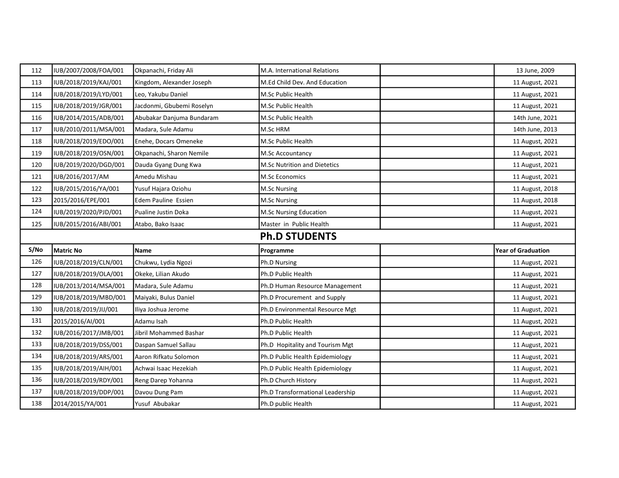| 112                  | IUB/2007/2008/FOA/001 | Okpanachi, Friday Ali     | M.A. International Relations        | 13 June, 2009             |  |
|----------------------|-----------------------|---------------------------|-------------------------------------|---------------------------|--|
| 113                  | IUB/2018/2019/KAJ/001 | Kingdom, Alexander Joseph | M.Ed Child Dev. And Education       | 11 August, 2021           |  |
| 114                  | IUB/2018/2019/LYD/001 | Leo, Yakubu Daniel        | M.Sc Public Health                  | 11 August, 2021           |  |
| 115                  | IUB/2018/2019/JGR/001 | Jacdonmi, Gbubemi Roselyn | M.Sc Public Health                  | 11 August, 2021           |  |
| 116                  | IUB/2014/2015/ADB/001 | Abubakar Danjuma Bundaram | M.Sc Public Health                  | 14th June, 2021           |  |
| 117                  | IUB/2010/2011/MSA/001 | Madara, Sule Adamu        | M.Sc HRM                            | 14th June, 2013           |  |
| 118                  | IUB/2018/2019/EDO/001 | Enehe, Docars Omeneke     | M.Sc Public Health                  | 11 August, 2021           |  |
| 119                  | IUB/2018/2019/OSN/001 | Okpanachi, Sharon Nemile  | M.Sc Accountancy                    | 11 August, 2021           |  |
| 120                  | IUB/2019/2020/DGD/001 | Dauda Gyang Dung Kwa      | <b>M.Sc Nutrition and Dietetics</b> | 11 August, 2021           |  |
| 121                  | IUB/2016/2017/AM      | Amedu Mishau              | <b>M.Sc Economics</b>               | 11 August, 2021           |  |
| 122                  | IUB/2015/2016/YA/001  | Yusuf Hajara Oziohu       | <b>M.Sc Nursing</b>                 | 11 August, 2018           |  |
| 123                  | 2015/2016/EPE/001     | Edem Pauline Essien       | <b>M.Sc Nursing</b>                 | 11 August, 2018           |  |
| 124                  | IUB/2019/2020/PJD/001 | Pualine Justin Doka       | M.Sc Nursing Education              | 11 August, 2021           |  |
| 125                  | IUB/2015/2016/ABI/001 | Atabo, Bako Isaac         | Master in Public Health             | 11 August, 2021           |  |
| <b>Ph.D STUDENTS</b> |                       |                           |                                     |                           |  |
|                      |                       |                           |                                     |                           |  |
| S/No                 | Matric No             | <b>Name</b>               | Programme                           | <b>Year of Graduation</b> |  |
| 126                  | IUB/2018/2019/CLN/001 | Chukwu, Lydia Ngozi       | Ph.D Nursing                        | 11 August, 2021           |  |
| 127                  | IUB/2018/2019/OLA/001 | Okeke, Lilian Akudo       | Ph.D Public Health                  | 11 August, 2021           |  |
| 128                  | IUB/2013/2014/MSA/001 | Madara, Sule Adamu        | Ph.D Human Resource Management      | 11 August, 2021           |  |
| 129                  | IUB/2018/2019/MBD/001 | Maiyaki, Bulus Daniel     | Ph.D Procurement and Supply         | 11 August, 2021           |  |
| 130                  | IUB/2018/2019/JIJ/001 | Iliya Joshua Jerome       | Ph.D Environmental Resource Mgt     | 11 August, 2021           |  |
| 131                  | 2015/2016/AI/001      | Adamu Isah                | Ph.D Public Health                  | 11 August, 2021           |  |
| 132                  | IUB/2016/2017/JMB/001 | Jibril Mohammed Bashar    | Ph.D Public Health                  | 11 August, 2021           |  |
| 133                  | IUB/2018/2019/DSS/001 | Daspan Samuel Sallau      | Ph.D Hopitality and Tourism Mgt     | 11 August, 2021           |  |
| 134                  | IUB/2018/2019/ARS/001 | Aaron Rifkatu Solomon     | Ph.D Public Health Epidemiology     | 11 August, 2021           |  |
| 135                  | IUB/2018/2019/AIH/001 | Achwai Isaac Hezekiah     | Ph.D Public Health Epidemiology     | 11 August, 2021           |  |
| 136                  | IUB/2018/2019/RDY/001 | Reng Darep Yohanna        | Ph.D Church History                 | 11 August, 2021           |  |
| 137                  | IUB/2018/2019/DDP/001 | Davou Dung Pam            | Ph.D Transformational Leadership    | 11 August, 2021           |  |